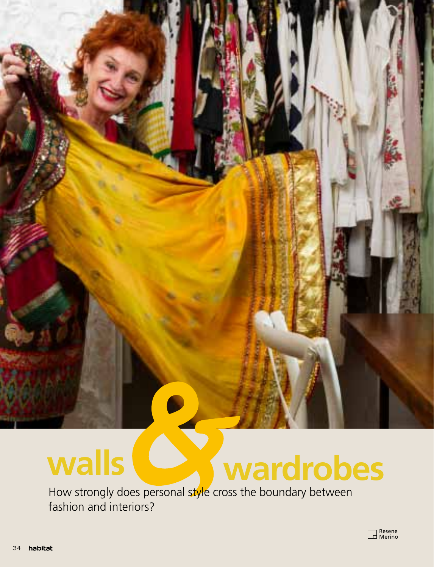## **walls wardrobes**

How strongly does personal style cross the boundary between fashion and interiors?



for.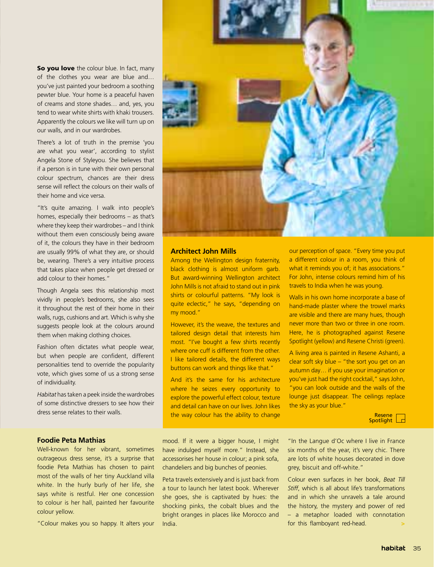So you love the colour blue. In fact, many of the clothes you wear are blue and… you've just painted your bedroom a soothing pewter blue. Your home is a peaceful haven of creams and stone shades… and, yes, you tend to wear white shirts with khaki trousers. Apparently the colours we like will turn up on our walls, and in our wardrobes.

There's a lot of truth in the premise 'you are what you wear', according to stylist Angela Stone of Styleyou. She believes that if a person is in tune with their own personal colour spectrum, chances are their dress sense will reflect the colours on their walls of their home and vice versa.

"It's quite amazing. I walk into people's homes, especially their bedrooms – as that's where they keep their wardrobes – and I think without them even consciously being aware of it, the colours they have in their bedroom are usually 99% of what they are, or should be, wearing. There's a very intuitive process that takes place when people get dressed or add colour to their homes."

Though Angela sees this relationship most vividly in people's bedrooms, she also sees it throughout the rest of their home in their walls, rugs, cushions and art. Which is why she suggests people look at the colours around them when making clothing choices.

Fashion often dictates what people wear, but when people are confident, different personalities tend to override the popularity vote, which gives some of us a strong sense of individuality.

*Habitat* has taken a peek inside the wardrobes of some distinctive dressers to see how their dress sense relates to their walls.

## **Foodie Peta Mathias**

Well-known for her vibrant, sometimes outrageous dress sense, it's a surprise that foodie Peta Mathias has chosen to paint most of the walls of her tiny Auckland villa white. In the hurly burly of her life, she says white is restful. Her one concession to colour is her hall, painted her favourite colour yellow.

"Colour makes you so happy. It alters your



## **Architect John Mills**

Among the Wellington design fraternity, black clothing is almost uniform garb. But award-winning Wellington architect John Mills is not afraid to stand out in pink shirts or colourful patterns. "My look is quite eclectic," he says, "depending on my mood."

However, it's the weave, the textures and tailored design detail that interests him most. "I've bought a few shirts recently where one cuff is different from the other. I like tailored details, the different ways buttons can work and things like that."

And it's the same for his architecture where he seizes every opportunity to explore the powerful effect colour, texture and detail can have on our lives. John likes the way colour has the ability to change

our perception of space. "Every time you put a different colour in a room, you think of what it reminds you of; it has associations." For John, intense colours remind him of his travels to India when he was young.

Walls in his own home incorporate a base of hand-made plaster where the trowel marks are visible and there are many hues, though never more than two or three in one room. Here, he is photographed against Resene Spotlight (yellow) and Resene Christi (green).

A living area is painted in Resene Ashanti, a clear soft sky blue – "the sort you get on an autumn day… if you use your imagination or you've just had the right cocktail," says John, "you can look outside and the walls of the lounge just disappear. The ceilings replace the sky as your blue."



mood. If it were a bigger house, I might have indulged myself more." Instead, she accessorises her house in colour; a pink sofa, chandeliers and big bunches of peonies.

Peta travels extensively and is just back from a tour to launch her latest book. Wherever she goes, she is captivated by hues: the shocking pinks, the cobalt blues and the bright oranges in places like Morocco and India.

"In the Langue d'Oc where I live in France six months of the year, it's very chic. There are lots of white houses decorated in dove grey, biscuit and off-white."

Colour even surfaces in her book, *Beat Till Stiff*, which is all about life's transformations and in which she unravels a tale around the history, the mystery and power of red – a metaphor loaded with connotation for this flamboyant red-head.